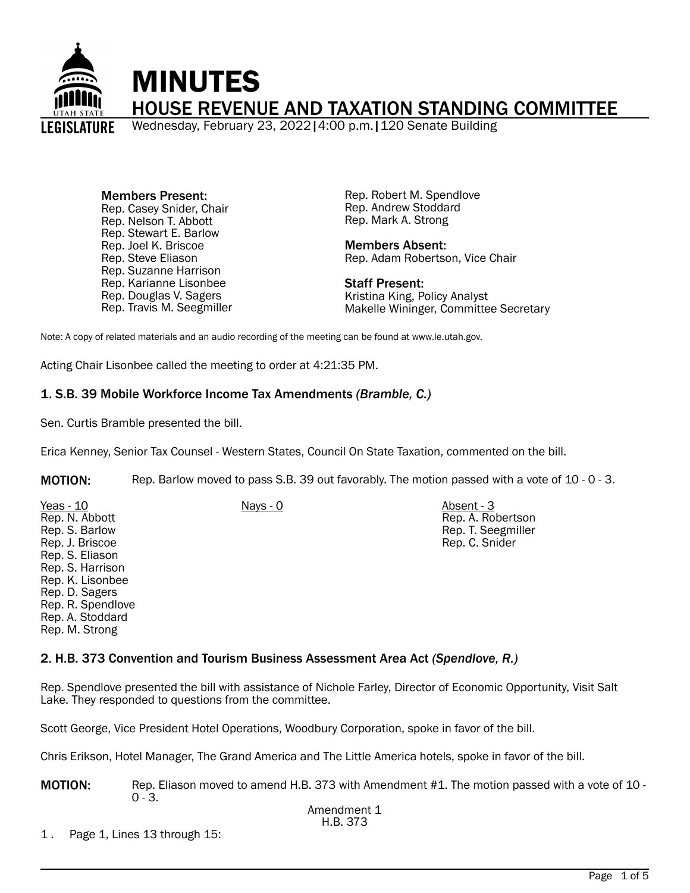

Members Present: Rep. Casey Snider, Chair Rep. Nelson T. Abbott Rep. Stewart E. Barlow Rep. Joel K. Briscoe Rep. Steve Eliason Rep. Suzanne Harrison Rep. Karianne Lisonbee Rep. Douglas V. Sagers Rep. Travis M. Seegmiller Rep. Robert M. Spendlove Rep. Andrew Stoddard Rep. Mark A. Strong

Members Absent: Rep. Adam Robertson, Vice Chair

Staff Present: Kristina King, Policy Analyst Makelle Wininger, Committee Secretary

Note: A copy of related materials and an audio recording of the meeting can be found at www.le.utah.gov.

Acting Chair Lisonbee called the meeting to order at 4:21:35 PM.

### 1. S.B. 39 Mobile Workforce Income Tax Amendments *(Bramble, C.)*

Sen. Curtis Bramble presented the bill.

Erica Kenney, Senior Tax Counsel - Western States, Council On State Taxation, commented on the bill.

MOTION: Rep. Barlow moved to pass S.B. 39 out favorably. The motion passed with a vote of 10 - 0 - 3.

| Rep. S. Barlow<br>Rep. J. Briscoe<br>Rep. S. Eliason<br>Rep. S. Harrison<br>Rep. K. Lisonbee<br>Rep. D. Sagers<br>Rep. R. Spendlove<br>Rep. A. Stoddard<br>Rep. M. Strong | Rep. T. Seegmiller<br>Rep. C. Snider |
|---------------------------------------------------------------------------------------------------------------------------------------------------------------------------|--------------------------------------|
|---------------------------------------------------------------------------------------------------------------------------------------------------------------------------|--------------------------------------|

#### 2. H.B. 373 Convention and Tourism Business Assessment Area Act *(Spendlove, R.)*

Rep. Spendlove presented the bill with assistance of Nichole Farley, Director of Economic Opportunity, Visit Salt Lake. They responded to questions from the committee.

Scott George, Vice President Hotel Operations, Woodbury Corporation, spoke in favor of the bill.

Chris Erikson, Hotel Manager, The Grand America and The Little America hotels, spoke in favor of the bill.

MOTION: Rep. Eliason moved to amend H.B. 373 with Amendment #1. The motion passed with a vote of 10 - $0 - 3$ .

1 . Page 1, Lines 13 through 15: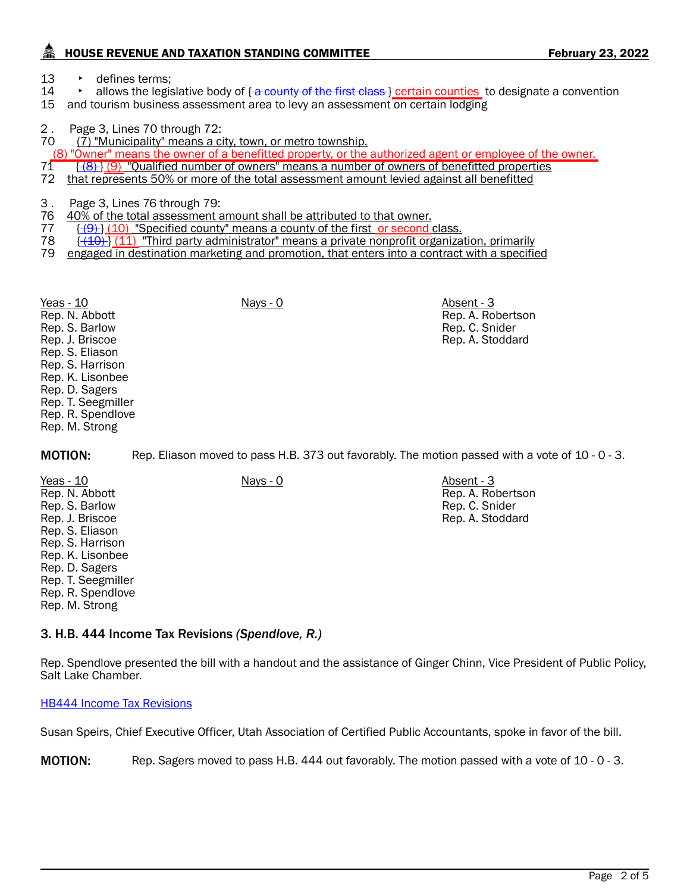# HOUSE REVENUE AND TAXATION STANDING COMMITTEE FEBRUARY 23, 2022

Rep. A. Robertson Rep. C. Snider Rep. A. Stoddard

Rep. A. Robertson Rep. C. Snider Rep. A. Stoddard

13 • defines terms;<br>14 • allows the legis allows the legislative body of  $\{a$  county of the first class  $\}$  certain counties to designate a convention

15 and tourism business assessment area to levy an assessment on certain lodging

2. Page 3, Lines 70 through 72:<br>70 (7) "Municipality" means a c

 $(7)$  "Municipality" means a city, town, or metro township.

 $\frac{(8)$  "Owner" means the owner of a benefitted property, or the authorized agent or employee of the owner.<br>71  $\frac{1}{(8)}$  (9) "Oualified number of owners" means a number of owners of benefitted properties

- $71$   $\frac{1}{2}$   $\frac{1}{3}$   $\frac{1}{9}$  "Qualified number of owners" means a number of owners of benefitted properties  $72$  that represents 50% or more of the total assessment amount levied against all benefitted
- 72 that represents 50% or more of the total assessment amount levied against all benefitted
- 3 . Page 3, Lines 76 through 79:<br>76 40% of the total assessment a
- 40% of the total assessment amount shall be attributed to that owner.
- 77  $\{\frac{(9)}{(10)}\}$  (10) "Specified county" means a county of the first or second class.<br>78  $\{\frac{(40)}{(11)}\}$  Third party administrator" means a private nonprofit organiza
- $78$   $\frac{(140)}{(11)}$  "Third party administrator" means a private nonprofit organization, primarily 79 engaged in destination marketing and promotion, that enters into a contract with a specific

79 engaged in destination marketing and promotion, that enters into a contract with a specified

Yeas - 10 Nays - 0 Absent - 3 Rep. N. Abbott Rep. S. Barlow Rep. J. Briscoe Rep. S. Eliason Rep. S. Harrison Rep. K. Lisonbee Rep. D. Sagers Rep. T. Seegmiller Rep. R. Spendlove Rep. M. Strong

MOTION: Rep. Eliason moved to pass H.B. 373 out favorably. The motion passed with a vote of 10 - 0 - 3.

Yeas - 10 Nays - 0 Nays - 0 Absent - 3 Rep. N. Abbott Rep. S. Barlow Rep. J. Briscoe Rep. S. Eliason Rep. S. Harrison Rep. K. Lisonbee Rep. D. Sagers Rep. T. Seegmiller Rep. R. Spendlove Rep. M. Strong

3. H.B. 444 Income Tax Revisions *(Spendlove, R.)*

Rep. Spendlove presented the bill with a handout and the assistance of Ginger Chinn, Vice President of Public Policy, Salt Lake Chamber.

[HB444 Income Tax Revisions](https://le.utah.gov/interim/2022/pdf/00001927.pdf)

Susan Speirs, Chief Executive Officer, Utah Association of Certified Public Accountants, spoke in favor of the bill.

MOTION: Rep. Sagers moved to pass H.B. 444 out favorably. The motion passed with a vote of 10 - 0 - 3.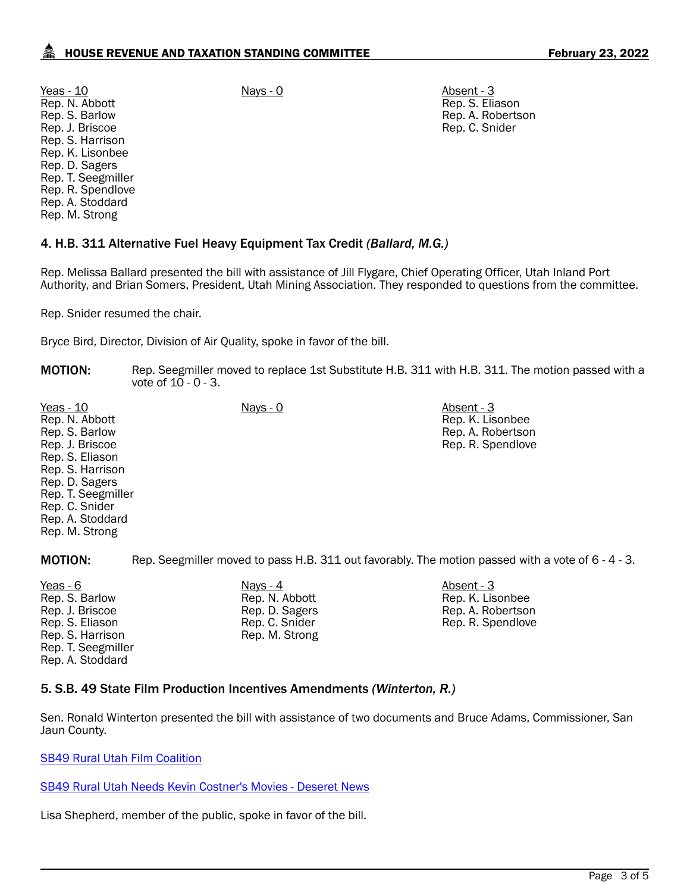Yeas - 10 Nays - 0 Absent - 3 Rep. N. Abbott Rep. S. Barlow Rep. J. Briscoe Rep. S. Harrison Rep. K. Lisonbee Rep. D. Sagers Rep. T. Seegmiller Rep. R. Spendlove Rep. A. Stoddard Rep. M. Strong

Rep. S. Eliason Rep. A. Robertson Rep. C. Snider

## 4. H.B. 311 Alternative Fuel Heavy Equipment Tax Credit *(Ballard, M.G.)*

Rep. Melissa Ballard presented the bill with assistance of Jill Flygare, Chief Operating Officer, Utah Inland Port Authority, and Brian Somers, President, Utah Mining Association. They responded to questions from the committee.

Rep. Snider resumed the chair.

Bryce Bird, Director, Division of Air Quality, spoke in favor of the bill.

| <b>MOTION:</b> | Rep. Seegmiller moved to replace 1st Substitute H.B. 311 with H.B. 311. The motion passed with a |
|----------------|--------------------------------------------------------------------------------------------------|
|                | vote of 10 - 0 - 3.                                                                              |

| Yeas - $10$        | <u>Nays - 0</u> | Absent - 3        |
|--------------------|-----------------|-------------------|
| Rep. N. Abbott     |                 | Rep. K. Lisonbee  |
| Rep. S. Barlow     |                 | Rep. A. Robertson |
| Rep. J. Briscoe    |                 | Rep. R. Spendlove |
| Rep. S. Eliason    |                 |                   |
| Rep. S. Harrison   |                 |                   |
| Rep. D. Sagers     |                 |                   |
| Rep. T. Seegmiller |                 |                   |
| Rep. C. Snider     |                 |                   |
| Rep. A. Stoddard   |                 |                   |
| Rep. M. Strong     |                 |                   |

MOTION: Rep. Seegmiller moved to pass H.B. 311 out favorably. The motion passed with a vote of 6 - 4 - 3.

Yeas - 6 Nays - 4 Absent - 3 Rep. S. Barlow Rep. J. Briscoe Rep. S. Eliason Rep. S. Harrison Rep. T. Seegmiller Rep. A. Stoddard

Rep. N. Abbott Rep. D. Sagers Rep. C. Snider Rep. M. Strong

Rep. K. Lisonbee Rep. A. Robertson Rep. R. Spendlove

### 5. S.B. 49 State Film Production Incentives Amendments *(Winterton, R.)*

Sen. Ronald Winterton presented the bill with assistance of two documents and Bruce Adams, Commissioner, San Jaun County.

[SB49 Rural Utah Film Coalition](https://le.utah.gov/interim/2022/pdf/00001926.pdf)

[SB49 Rural Utah Needs Kevin Costner's Movies - Deseret News](https://le.utah.gov/interim/2022/pdf/00001925.pdf)

Lisa Shepherd, member of the public, spoke in favor of the bill.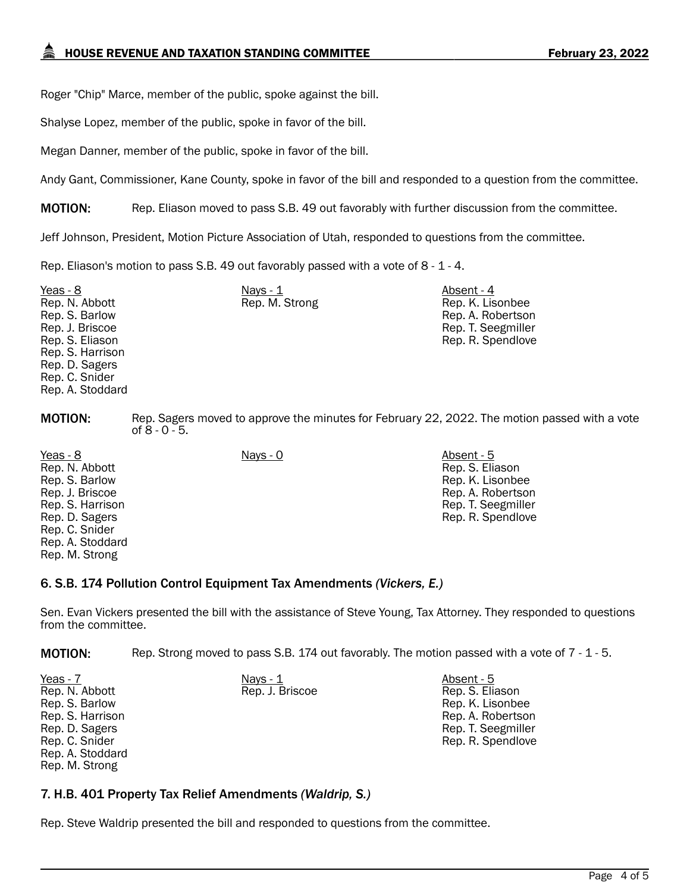Roger "Chip" Marce, member of the public, spoke against the bill.

Shalyse Lopez, member of the public, spoke in favor of the bill.

Megan Danner, member of the public, spoke in favor of the bill.

Andy Gant, Commissioner, Kane County, spoke in favor of the bill and responded to a question from the committee.

**MOTION:** Rep. Eliason moved to pass S.B. 49 out favorably with further discussion from the committee.

Jeff Johnson, President, Motion Picture Association of Utah, responded to questions from the committee.

Rep. Eliason's motion to pass S.B. 49 out favorably passed with a vote of 8 - 1 - 4.

| Yeas - 8         | Nays - 1       | Absent - 4         |
|------------------|----------------|--------------------|
| Rep. N. Abbott   | Rep. M. Strong | Rep. K. Lisonbee   |
| Rep. S. Barlow   |                | Rep. A. Robertson  |
| Rep. J. Briscoe  |                | Rep. T. Seegmiller |
| Rep. S. Eliason  |                | Rep. R. Spendlove  |
| Rep. S. Harrison |                |                    |
| Rep. D. Sagers   |                |                    |
| Rep. C. Snider   |                |                    |
| Rep. A. Stoddard |                |                    |

**MOTION:** Rep. Sagers moved to approve the minutes for February 22, 2022. The motion passed with a vote of 8 - 0 - 5.

> Rep. S. Eliason Rep. K. Lisonbee Rep. A. Robertson Rep. T. Seegmiller Rep. R. Spendlove

Yeas - 8 Nays - 0 Absent - 5 Rep. N. Abbott Rep. S. Barlow Rep. J. Briscoe Rep. S. Harrison Rep. D. Sagers Rep. C. Snider Rep. A. Stoddard Rep. M. Strong

### 6. S.B. 174 Pollution Control Equipment Tax Amendments *(Vickers, E.)*

Sen. Evan Vickers presented the bill with the assistance of Steve Young, Tax Attorney. They responded to questions from the committee.

MOTION: Rep. Strong moved to pass S.B. 174 out favorably. The motion passed with a vote of 7 - 1 - 5.

| Yeas - 7         | Nays - 1        | Absent - 5         |
|------------------|-----------------|--------------------|
| Rep. N. Abbott   | Rep. J. Briscoe | Rep. S. Eliason    |
| Rep. S. Barlow   |                 | Rep. K. Lisonbee   |
| Rep. S. Harrison |                 | Rep. A. Robertson  |
| Rep. D. Sagers   |                 | Rep. T. Seegmiller |
| Rep. C. Snider   |                 | Rep. R. Spendlove  |
| Rep. A. Stoddard |                 |                    |
| Rep. M. Strong   |                 |                    |

### 7. H.B. 401 Property Tax Relief Amendments *(Waldrip, S.)*

Rep. Steve Waldrip presented the bill and responded to questions from the committee.